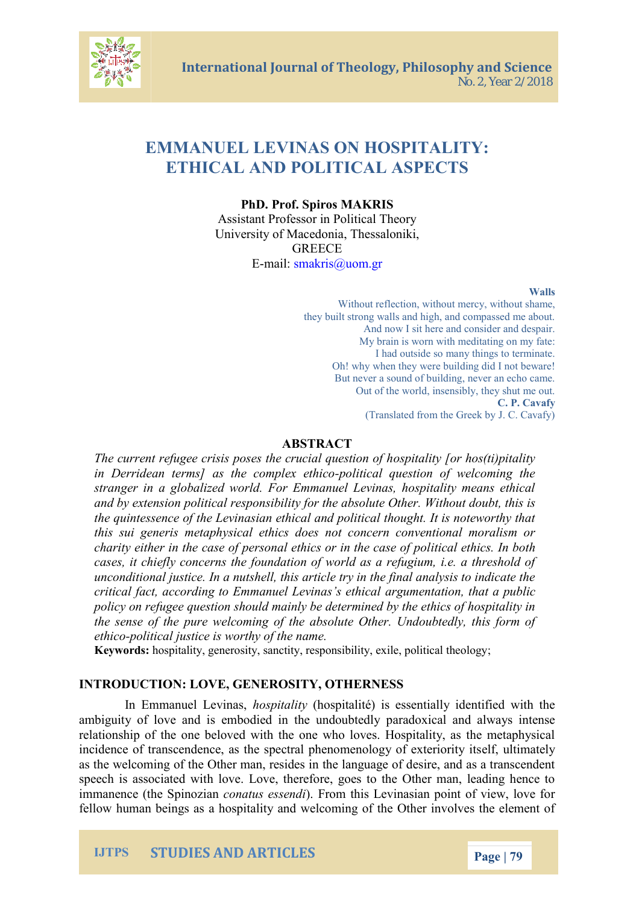International Journal of Theology, Phi No. 2, Year 2/2018

# EMMANUEL LEVINASSOPNTALITY: ETHICAL AND POLIA SOPAECTS

PhD. P Sopfi.ros A KWRIS Assistant Professor in Political Theory University of Mantes and Theoriki, GREECE  $E$ -mai[smakris@](mailto:smakris@uom.gr)uom.gr

Walls

Without ercetion, without mercy, without share, they built strong walls and high, and compa And now I sit here and consider and My brain is worn with meditating on  $I$  had outside so many things to terminate. Oh! why when ethbeuy il wieng did I not beware But never a sound of building, never an Out of the world, insensibly, they she C. P. Cavafy (Translated from the Greek by J. C.

#### ABSTRACT

The current refugee crisis poses ot short a hiut giao ranges (to ) pit all hit in Derridean terms] as the obioincalex unestion of welcoming stranger in a globalized world. For Emmanuel Levinas, ho and by extension political responsibility for the babble as the its O the quintessence of the Levinasian ethical and political the this sui generis metaphysical ethics does not concern con charity either in the case of personal tiethies hocsin Ith bodase cases, it chiefly concerns the foundation of world as a ref unconditional justice. In a nutshell, this article try in the f critical fact, according to Emmaargembetanias is tehtahticaal public policy on refugee question should mainly be determined by the sense of the pure welcoming of the absolute Other. U ethipolitical justice is worthy of the name.

Keywordsspitality, generosity, sanctity, responsibility, exile, po

#### INTRODUCTIONVE, GENEROSITY, OTHERNESS

In Emmanuel besprias hospitalité) is essentially identifi ambiguity of love and is embodiead raidowhical machoolubathe world interesting and and and and and and and an relationship of the one beloved with the one who loves. Ho incidence of transcendence, as the spectral phenomenology as the welo of thing of the  $r$  manther elsain dependence of desire, and as a t speech is associated with love. Love, therefore, goes to th immanence (the c**Spartozia)** semethi this Levinasian point of view, fellow human being bit as a a dhows pictoaming of the Other involves

## IJTPS STUDIES AND ARTICLES Page 9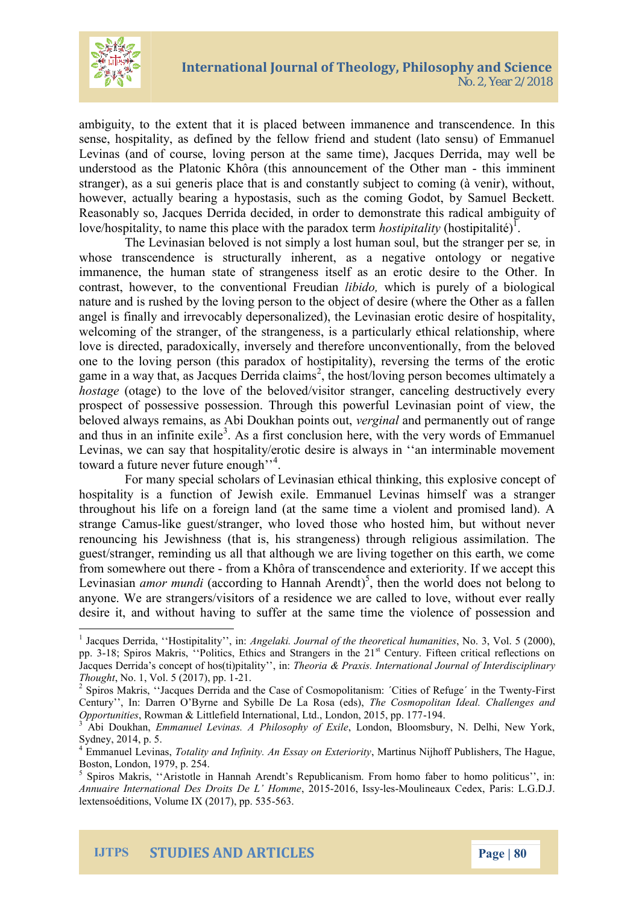

ambiguity, to the extent that it is placed between immanence and transcendence. In this sense, hospitality, as defined by the fellow friend and student (lato sensu) of Emmanuel Levinas (and of course, loving person at the same time), Jacques Derrida, may well be understood as the Platonic Khôra (this announcement of the Other man - this imminent stranger), as a sui generis place that is and constantly subject to coming (à venir), without, however, actually bearing a hypostasis, such as the coming Godot, by Samuel Beckett. Reasonably so, Jacques Derrida decided, in order to demonstrate this radical ambiguity of love/hospitality, to name this place with the paradox term *hostipitality* (hostipitalité)<sup>1</sup>.

The Levinasian beloved is not simply a lost human soul, but the stranger per se*,* in whose transcendence is structurally inherent, as a negative ontology or negative immanence, the human state of strangeness itself as an erotic desire to the Other. In contrast, however, to the conventional Freudian *libido,* which is purely of a biological nature and is rushed by the loving person to the object of desire (where the Other as a fallen angel is finally and irrevocably depersonalized), the Levinasian erotic desire of hospitality, welcoming of the stranger, of the strangeness, is a particularly ethical relationship, where love is directed, paradoxically, inversely and therefore unconventionally, from the beloved one to the loving person (this paradox of hostipitality), reversing the terms of the erotic game in a way that, as Jacques Derrida claims<sup>2</sup>, the host/loving person becomes ultimately a *hostage* (otage) to the love of the beloved/visitor stranger, canceling destructively every prospect of possessive possession. Through this powerful Levinasian point of view, the beloved always remains, as Abi Doukhan points out, *verginal* and permanently out of range and thus in an infinite exile<sup>3</sup>. As a first conclusion here, with the very words of Emmanuel Levinas, we can say that hospitality/erotic desire is always in ''an interminable movement toward a future never future enough"<sup>4</sup>.

For many special scholars of Levinasian ethical thinking, this explosive concept of hospitality is a function of Jewish exile. Emmanuel Levinas himself was a stranger throughout his life on a foreign land (at the same time a violent and promised land). A strange Camus-like guest/stranger, who loved those who hosted him, but without never renouncing his Jewishness (that is, his strangeness) through religious assimilation. The guest/stranger, reminding us all that although we are living together on this earth, we come from somewhere out there - from a Khôra of transcendence and exteriority. If we accept this Levinasian *amor mundi* (according to Hannah Arendt)<sup>5</sup>, then the world does not belong to anyone. We are strangers/visitors of a residence we are called to love, without ever really desire it, and without having to suffer at the same time the violence of possession and

<sup>&</sup>lt;sup>1</sup> Jacques Derrida, "Hostipitality", in: *Angelaki. Journal of the theoretical humanities*, No. 3, Vol. 5 (2000), pp. 3-18; Spiros Makris, "Politics, Ethics and Strangers in the 21<sup>st</sup> Century. Fifteen critical reflections on Jacques Derrida's concept of hos(ti)pitality'', in: *Theoria & Praxis. International Journal of Interdisciplinary Thought*, No. 1, Vol. 5 (2017), pp. 1-21.

<sup>&</sup>lt;sup>2</sup> Spiros Makris, "Jacques Derrida and the Case of Cosmopolitanism: 'Cities of Refuge' in the Twenty-First Century'', In: Darren O'Byrne and Sybille De La Rosa (eds), *The Cosmopolitan Ideal. Challenges and Opportunities*, Rowman & Littlefield International, Ltd., London, 2015, pp. 177-194.

<sup>3</sup> Abi Doukhan, *Emmanuel Levinas. A Philosophy of Exile*, London, Bloomsbury, N. Delhi, New York, Sydney, 2014, p. 5.

<sup>4</sup> Emmanuel Levinas, *Totality and Infinity. An Essay on Exteriority*, Martinus Nijhoff Publishers, The Hague, Boston, London, 1979, p. 254.

<sup>&</sup>lt;sup>5</sup> Spiros Makris, "Aristotle in Hannah Arendt's Republicanism. From homo faber to homo politicus", in: *Annuaire International Des Droits De L' Homme*, 2015-2016, Issy-les-Moulineaux Cedex, Paris: L.G.D.J. lextensoéditions, Volume IX (2017), pp. 535-563.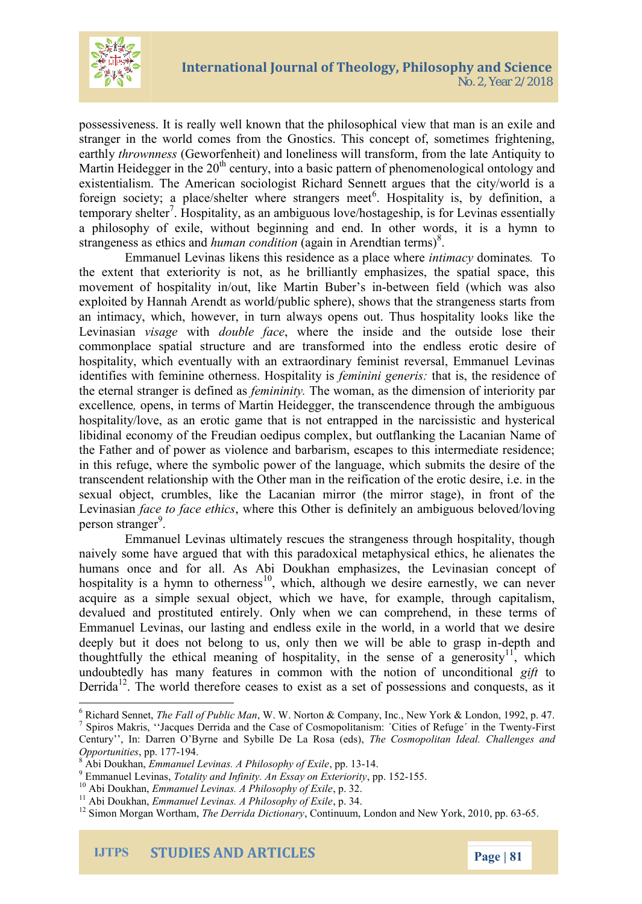

possessiveness. It is really well known that the philosophical view that man is an exile and stranger in the world comes from the Gnostics. This concept of, sometimes frightening, earthly *thrownness* (Geworfenheit) and loneliness will transform, from the late Antiquity to Martin Heidegger in the  $20<sup>th</sup>$  century, into a basic pattern of phenomenological ontology and existentialism. The American sociologist Richard Sennett argues that the city/world is a foreign society; a place/shelter where strangers meet<sup>6</sup>. Hospitality is, by definition, a temporary shelter<sup>7</sup>. Hospitality, as an ambiguous love/hostageship, is for Levinas essentially a philosophy of exile, without beginning and end. In other words, it is a hymn to strangeness as ethics and *human condition* (again in Arendtian terms)<sup>8</sup>.

Emmanuel Levinas likens this residence as a place where *intimacy* dominates*.* To the extent that exteriority is not, as he brilliantly emphasizes, the spatial space, this movement of hospitality in/out, like Martin Buber's in-between field (which was also exploited by Hannah Arendt as world/public sphere), shows that the strangeness starts from an intimacy, which, however, in turn always opens out. Thus hospitality looks like the Levinasian *visage* with *double face*, where the inside and the outside lose their commonplace spatial structure and are transformed into the endless erotic desire of hospitality, which eventually with an extraordinary feminist reversal, Emmanuel Levinas identifies with feminine otherness. Hospitality is *feminini generis:* that is, the residence of the eternal stranger is defined as *femininity.* The woman, as the dimension of interiority par excellence*,* opens, in terms of Martin Heidegger, the transcendence through the ambiguous hospitality/love, as an erotic game that is not entrapped in the narcissistic and hysterical libidinal economy of the Freudian oedipus complex, but outflanking the Lacanian Name of the Father and of power as violence and barbarism, escapes to this intermediate residence; in this refuge, where the symbolic power of the language, which submits the desire of the transcendent relationship with the Other man in the reification of the erotic desire, i.e. in the sexual object, crumbles, like the Lacanian mirror (the mirror stage), in front of the Levinasian *face to face ethics*, where this Other is definitely an ambiguous beloved/loving person stranger<sup>9</sup>.

Emmanuel Levinas ultimately rescues the strangeness through hospitality, though naively some have argued that with this paradoxical metaphysical ethics, he alienates the humans once and for all. As Abi Doukhan emphasizes, the Levinasian concept of hospitality is a hymn to otherness<sup>10</sup>, which, although we desire earnestly, we can never acquire as a simple sexual object, which we have, for example, through capitalism, devalued and prostituted entirely. Only when we can comprehend, in these terms of Emmanuel Levinas, our lasting and endless exile in the world, in a world that we desire deeply but it does not belong to us, only then we will be able to grasp in-depth and thoughtfully the ethical meaning of hospitality, in the sense of a generosity<sup>11</sup>, which undoubtedly has many features in common with the notion of unconditional *gift* to Derrida<sup>12</sup>. The world therefore ceases to exist as a set of possessions and conquests, as it

<sup>6</sup> Richard Sennet, *The Fall of Public Man*, W. W. Norton & Company, Inc., New York & London, 1992, p. 47.

<sup>&</sup>lt;sup>7</sup> Spiros Makris, "Jacques Derrida and the Case of Cosmopolitanism: 'Cities of Refuge' in the Twenty-First Century'', In: Darren O'Byrne and Sybille De La Rosa (eds), *The Cosmopolitan Ideal. Challenges and Opportunities*, pp. 177-194.

<sup>8</sup> Abi Doukhan, *Emmanuel Levinas. A Philosophy of Exile*, pp. 13-14.

<sup>9</sup> Emmanuel Levinas, *Totality and Infinity. An Essay on Exteriority*, pp. 152-155.

<sup>10</sup> Abi Doukhan, *Emmanuel Levinas. A Philosophy of Exile*, p. 32.

<sup>11</sup> Abi Doukhan, *Emmanuel Levinas. A Philosophy of Exile*, p. 34.

<sup>&</sup>lt;sup>12</sup> Simon Morgan Wortham, *The Derrida Dictionary*, Continuum, London and New York, 2010, pp. 63-65.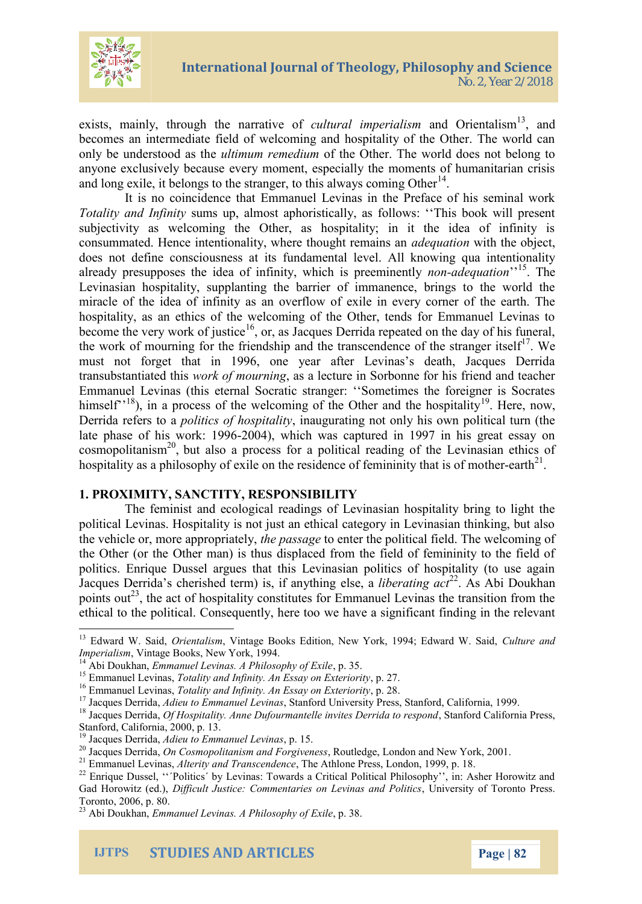

exists, mainly, through the narrative of *cultural imperialism* and Orientalism<sup>13</sup>, and becomes an intermediate field of welcoming and hospitality of the Other. The world can only be understood as the *ultimum remedium* of the Other. The world does not belong to anyone exclusively because every moment, especially the moments of humanitarian crisis and long exile, it belongs to the stranger, to this always coming Other $<sup>14</sup>$ .</sup>

It is no coincidence that Emmanuel Levinas in the Preface of his seminal work *Totality and Infinity* sums up, almost aphoristically, as follows: ''This book will present subjectivity as welcoming the Other, as hospitality; in it the idea of infinity is consummated. Hence intentionality, where thought remains an *adequation* with the object, does not define consciousness at its fundamental level. All knowing qua intentionality already presupposes the idea of infinity, which is preeminently *non-adequation*<sup>''15</sup>. The Levinasian hospitality, supplanting the barrier of immanence, brings to the world the miracle of the idea of infinity as an overflow of exile in every corner of the earth. The hospitality, as an ethics of the welcoming of the Other, tends for Emmanuel Levinas to become the very work of justice<sup>16</sup>, or, as Jacques Derrida repeated on the day of his funeral, the work of mourning for the friendship and the transcendence of the stranger itself<sup>17</sup>. We must not forget that in 1996, one year after Levinas's death, Jacques Derrida transubstantiated this *work of mourning*, as a lecture in Sorbonne for his friend and teacher Emmanuel Levinas (this eternal Socratic stranger: ''Sometimes the foreigner is Socrates himself"<sup>18</sup>), in a process of the welcoming of the Other and the hospitality<sup>19</sup>. Here, now, Derrida refers to a *politics of hospitality*, inaugurating not only his own political turn (the late phase of his work: 1996-2004), which was captured in 1997 in his great essay on  $\cos$ mopolitanism<sup>20</sup>, but also a process for a political reading of the Levinasian ethics of hospitality as a philosophy of exile on the residence of femininity that is of mother-earth<sup>21</sup>.

#### **1. PROXIMITY, SANCTITY, RESPONSIBILITY**

The feminist and ecological readings of Levinasian hospitality bring to light the political Levinas. Hospitality is not just an ethical category in Levinasian thinking, but also the vehicle or, more appropriately, *the passage* to enter the political field. The welcoming of the Other (or the Other man) is thus displaced from the field of femininity to the field of politics. Enrique Dussel argues that this Levinasian politics of hospitality (to use again Jacques Derrida's cherished term) is, if anything else, a *liberating act*<sup>22</sup>. As Abi Doukhan points out<sup>23</sup>, the act of hospitality constitutes for Emmanuel Levinas the transition from the ethical to the political. Consequently, here too we have a significant finding in the relevant

<sup>13</sup> Edward W. Said, *Orientalism*, Vintage Books Edition, New York, 1994; Edward W. Said, *Culture and Imperialism*, Vintage Books, New York, 1994.

<sup>14</sup> Abi Doukhan, *Emmanuel Levinas. A Philosophy of Exile*, p. 35.

<sup>15</sup> Emmanuel Levinas, *Totality and Infinity. An Essay on Exteriority*, p. 27.

<sup>16</sup> Emmanuel Levinas, *Totality and Infinity. An Essay on Exteriority*, p. 28.

<sup>17</sup> Jacques Derrida, *Adieu to Emmanuel Levinas*, Stanford University Press, Stanford, California, 1999.

<sup>18</sup> Jacques Derrida, *Of Hospitality. Anne Dufourmantelle invites Derrida to respond*, Stanford California Press, Stanford, California, 2000, p. 13.

<sup>19</sup> Jacques Derrida, *Adieu to Emmanuel Levinas*, p. 15.

<sup>20</sup> Jacques Derrida, *On Cosmopolitanism and Forgiveness*, Routledge, London and New York, 2001.

<sup>21</sup> Emmanuel Levinas, *Alterity and Transcendence*, The Athlone Press, London, 1999, p. 18.

<sup>&</sup>lt;sup>22</sup> Enrique Dussel, "'Politics' by Levinas: Towards a Critical Political Philosophy'', in: Asher Horowitz and Gad Horowitz (ed.), *Difficult Justice: Commentaries on Levinas and Politics*, University of Toronto Press. Toronto, 2006, p. 80.

<sup>23</sup> Abi Doukhan, *Emmanuel Levinas. A Philosophy of Exile*, p. 38.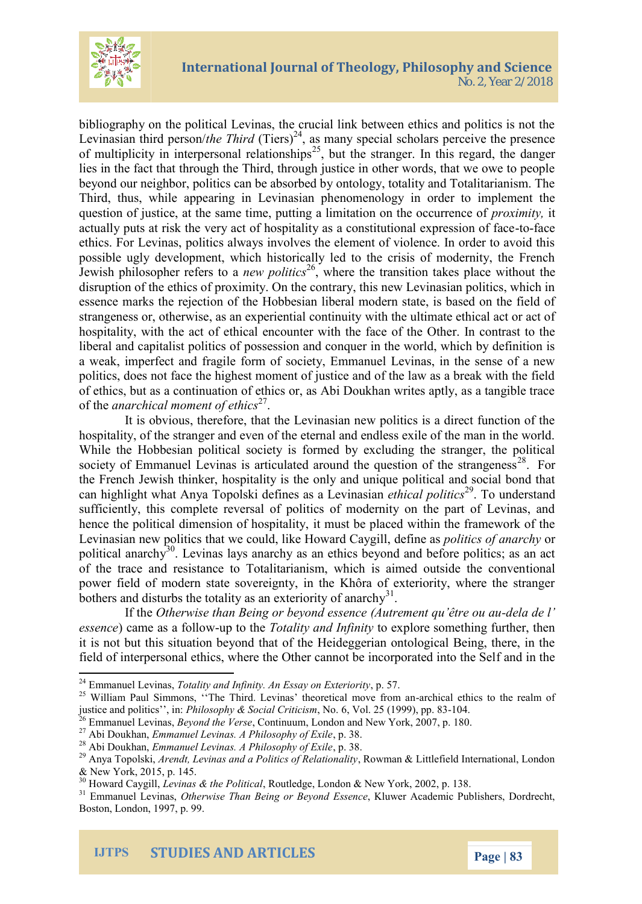

bibliography on the political Levinas, the crucial link between ethics and politics is not the Levinasian third person/*the Third* (Tiers)<sup>24</sup>, as many special scholars perceive the presence of multiplicity in interpersonal relationships<sup>25</sup>, but the stranger. In this regard, the danger lies in the fact that through the Third, through justice in other words, that we owe to people beyond our neighbor, politics can be absorbed by ontology, totality and Totalitarianism. The Third, thus, while appearing in Levinasian phenomenology in order to implement the question of justice, at the same time, putting a limitation on the occurrence of *proximity,* it actually puts at risk the very act of hospitality as a constitutional expression of face-to-face ethics. For Levinas, politics always involves the element of violence. In order to avoid this possible ugly development, which historically led to the crisis of modernity, the French Jewish philosopher refers to a *new politics*<sup>26</sup>, where the transition takes place without the disruption of the ethics of proximity. On the contrary, this new Levinasian politics, which in essence marks the rejection of the Hobbesian liberal modern state, is based on the field of strangeness or, otherwise, as an experiential continuity with the ultimate ethical act or act of hospitality, with the act of ethical encounter with the face of the Other. In contrast to the liberal and capitalist politics of possession and conquer in the world, which by definition is a weak, imperfect and fragile form of society, Emmanuel Levinas, in the sense of a new politics, does not face the highest moment of justice and of the law as a break with the field of ethics, but as a continuation of ethics or, as Abi Doukhan writes aptly, as a tangible trace of the *anarchical moment of ethics*<sup>27</sup>.

It is obvious, therefore, that the Levinasian new politics is a direct function of the hospitality, of the stranger and even of the eternal and endless exile of the man in the world. While the Hobbesian political society is formed by excluding the stranger, the political society of Emmanuel Levinas is articulated around the question of the strangeness<sup>28</sup>. For the French Jewish thinker, hospitality is the only and unique political and social bond that can highlight what Anya Topolski defines as a Levinasian *ethical politics*<sup>29</sup>. To understand sufficiently, this complete reversal of politics of modernity on the part of Levinas, and hence the political dimension of hospitality, it must be placed within the framework of the Levinasian new politics that we could, like Howard Caygill, define as *politics of anarchy* or political anarchy<sup>30</sup>. Levinas lays anarchy as an ethics beyond and before politics; as an act of the trace and resistance to Totalitarianism, which is aimed outside the conventional power field of modern state sovereignty, in the Khôra of exteriority, where the stranger bothers and disturbs the totality as an exteriority of anarchy<sup>31</sup>.

If the *Otherwise than Being or beyond essence (Autrement qu'être ou au-dela de l' essence*) came as a follow-up to the *Totality and Infinity* to explore something further, then it is not but this situation beyond that of the Heideggerian ontological Being, there, in the field of interpersonal ethics, where the Other cannot be incorporated into the Self and in the

<sup>24</sup> Emmanuel Levinas, *Totality and Infinity. An Essay on Exteriority*, p. 57.

<sup>&</sup>lt;sup>25</sup> William Paul Simmons, "The Third. Levinas' theoretical move from an-archical ethics to the realm of justice and politics'', in: *Philosophy & Social Criticism*, No. 6, Vol. 25 (1999), pp. 83-104.

<sup>26</sup> Emmanuel Levinas, *Beyond the Verse*, Continuum, London and New York, 2007, p. 180.

<sup>27</sup> Abi Doukhan, *Emmanuel Levinas. A Philosophy of Exile*, p. 38.

<sup>28</sup> Abi Doukhan, *Emmanuel Levinas. A Philosophy of Exile*, p. 38.

<sup>29</sup> Anya Topolski, *Arendt, Levinas and a Politics of Relationality*, Rowman & Littlefield International, London & New York, 2015, p. 145.

<sup>30</sup> Howard Caygill, *Levinas & the Political*, Routledge, London & New York, 2002, p. 138.

<sup>31</sup> Emmanuel Levinas, *Otherwise Than Being or Beyond Essence*, Kluwer Academic Publishers, Dordrecht, Boston, London, 1997, p. 99.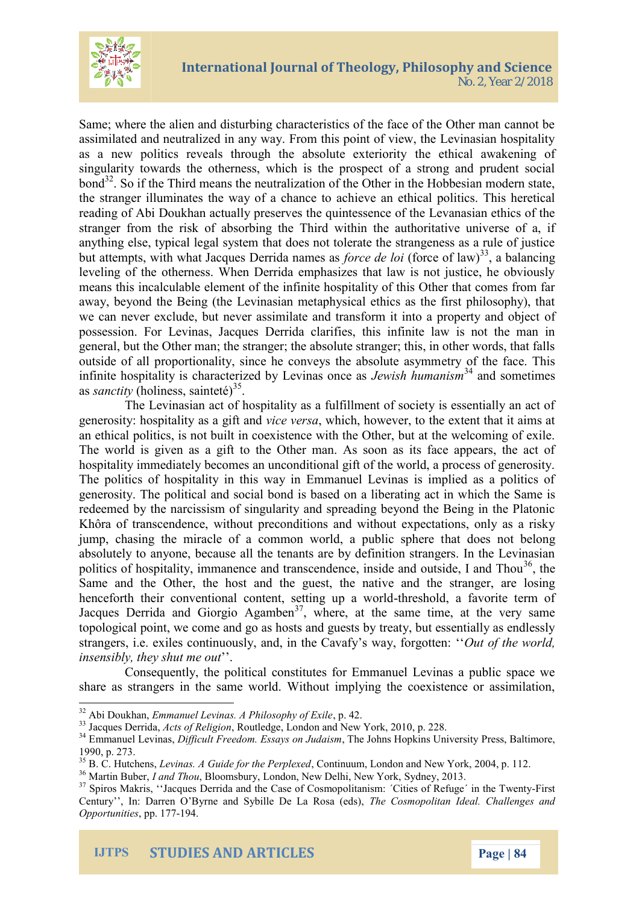

Same; where the alien and disturbing characteristics of the face of the Other man cannot be assimilated and neutralized in any way. From this point of view, the Levinasian hospitality as a new politics reveals through the absolute exteriority the ethical awakening of singularity towards the otherness, which is the prospect of a strong and prudent social  $bond<sup>32</sup>$ . So if the Third means the neutralization of the Other in the Hobbesian modern state, the stranger illuminates the way of a chance to achieve an ethical politics. This heretical reading of Abi Doukhan actually preserves the quintessence of the Levanasian ethics of the stranger from the risk of absorbing the Third within the authoritative universe of a, if anything else, typical legal system that does not tolerate the strangeness as a rule of justice but attempts, with what Jacques Derrida names as *force de loi* (force of law)<sup>33</sup>, a balancing leveling of the otherness. When Derrida emphasizes that law is not justice, he obviously means this incalculable element of the infinite hospitality of this Other that comes from far away, beyond the Being (the Levinasian metaphysical ethics as the first philosophy), that we can never exclude, but never assimilate and transform it into a property and object of possession. For Levinas, Jacques Derrida clarifies, this infinite law is not the man in general, but the Other man; the stranger; the absolute stranger; this, in other words, that falls outside of all proportionality, since he conveys the absolute asymmetry of the face. This infinite hospitality is characterized by Levinas once as *Jewish humanism*<sup>34</sup> and sometimes as *sanctity* (holiness, sainteté)<sup>35</sup>.

The Levinasian act of hospitality as a fulfillment of society is essentially an act of generosity: hospitality as a gift and *vice versa*, which, however, to the extent that it aims at an ethical politics, is not built in coexistence with the Other, but at the welcoming of exile. The world is given as a gift to the Other man. As soon as its face appears, the act of hospitality immediately becomes an unconditional gift of the world, a process of generosity. The politics of hospitality in this way in Emmanuel Levinas is implied as a politics of generosity. The political and social bond is based on a liberating act in which the Same is redeemed by the narcissism of singularity and spreading beyond the Being in the Platonic Khôra of transcendence, without preconditions and without expectations, only as a risky jump, chasing the miracle of a common world, a public sphere that does not belong absolutely to anyone, because all the tenants are by definition strangers. In the Levinasian politics of hospitality, immanence and transcendence, inside and outside, I and Thou<sup>36</sup>, the Same and the Other, the host and the guest, the native and the stranger, are losing henceforth their conventional content, setting up a world-threshold, a favorite term of Jacques Derrida and Giorgio Agamben<sup>37</sup>, where, at the same time, at the very same topological point, we come and go as hosts and guests by treaty, but essentially as endlessly strangers, i.e. exiles continuously, and, in the Cavafy's way, forgotten: ''*Out of the world, insensibly, they shut me out*''.

Consequently, the political constitutes for Emmanuel Levinas a public space we share as strangers in the same world. Without implying the coexistence or assimilation,

<sup>32</sup> Abi Doukhan, *Emmanuel Levinas. A Philosophy of Exile*, p. 42.

<sup>33</sup> Jacques Derrida, *Acts of Religion*, Routledge, London and New York, 2010, p. 228.

<sup>&</sup>lt;sup>34</sup> Emmanuel Levinas, *Difficult Freedom. Essays on Judaism*, The Johns Hopkins University Press, Baltimore, 1990, p. 273.

<sup>35</sup> B. C. Hutchens, *Levinas. A Guide for the Perplexed*, Continuum, London and New York, 2004, p. 112.

<sup>36</sup> Martin Buber, *I and Thou*, Bloomsbury, London, New Delhi, New York, Sydney, 2013.

<sup>&</sup>lt;sup>37</sup> Spiros Makris, "Jacques Derrida and the Case of Cosmopolitanism: 'Cities of Refuge' in the Twenty-First Century'', In: Darren O'Byrne and Sybille De La Rosa (eds), *The Cosmopolitan Ideal. Challenges and Opportunities*, pp. 177-194.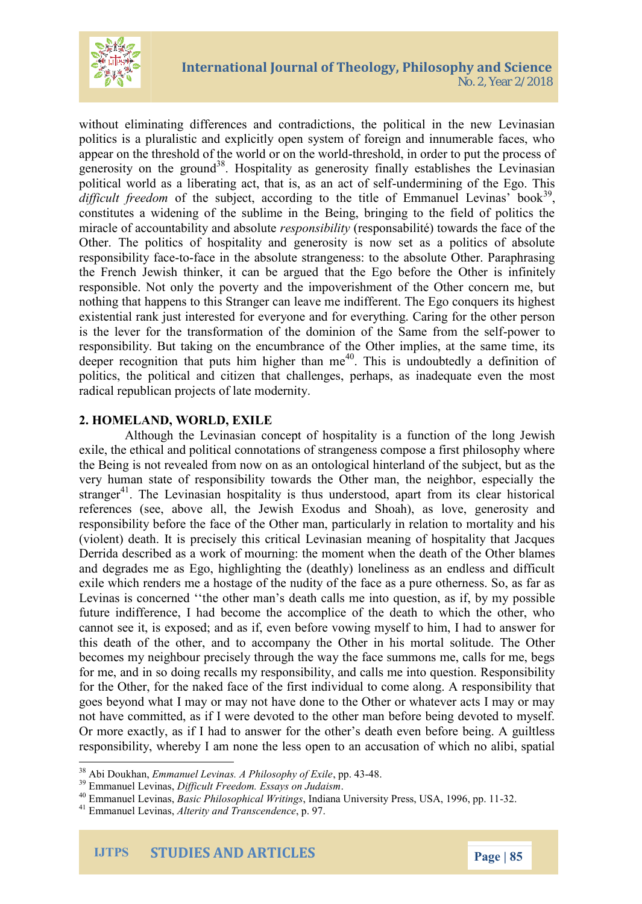

without eliminating differences and contradictions, the political in the new Levinasian politics is a pluralistic and explicitly open system of foreign and innumerable faces, who appear on the threshold of the world or on the world-threshold, in order to put the process of generosity on the ground<sup>38</sup>. Hospitality as generosity finally establishes the Levinasian political world as a liberating act, that is, as an act of self-undermining of the Ego. This  $differential$  freedom of the subject, according to the title of Emmanuel Levinas' book<sup>39</sup>, constitutes a widening of the sublime in the Being, bringing to the field of politics the miracle of accountability and absolute *responsibility* (responsabilité) towards the face of the Other. The politics of hospitality and generosity is now set as a politics of absolute responsibility face-to-face in the absolute strangeness: to the absolute Other. Paraphrasing the French Jewish thinker, it can be argued that the Ego before the Other is infinitely responsible. Not only the poverty and the impoverishment of the Other concern me, but nothing that happens to this Stranger can leave me indifferent. The Ego conquers its highest existential rank just interested for everyone and for everything. Caring for the other person is the lever for the transformation of the dominion of the Same from the self-power to responsibility. But taking on the encumbrance of the Other implies, at the same time, its deeper recognition that puts him higher than  $me^{40}$ . This is undoubtedly a definition of politics, the political and citizen that challenges, perhaps, as inadequate even the most radical republican projects of late modernity.

### **2. HOMELAND, WORLD, EXILE**

Although the Levinasian concept of hospitality is a function of the long Jewish exile, the ethical and political connotations of strangeness compose a first philosophy where the Being is not revealed from now on as an ontological hinterland of the subject, but as the very human state of responsibility towards the Other man, the neighbor, especially the stranger<sup>41</sup>. The Levinasian hospitality is thus understood, apart from its clear historical references (see, above all, the Jewish Exodus and Shoah), as love, generosity and responsibility before the face of the Other man, particularly in relation to mortality and his (violent) death. It is precisely this critical Levinasian meaning of hospitality that Jacques Derrida described as a work of mourning: the moment when the death of the Other blames and degrades me as Ego, highlighting the (deathly) loneliness as an endless and difficult exile which renders me a hostage of the nudity of the face as a pure otherness. So, as far as Levinas is concerned ''the other man's death calls me into question, as if, by my possible future indifference, I had become the accomplice of the death to which the other, who cannot see it, is exposed; and as if, even before vowing myself to him, I had to answer for this death of the other, and to accompany the Other in his mortal solitude. The Other becomes my neighbour precisely through the way the face summons me, calls for me, begs for me, and in so doing recalls my responsibility, and calls me into question. Responsibility for the Other, for the naked face of the first individual to come along. A responsibility that goes beyond what I may or may not have done to the Other or whatever acts I may or may not have committed, as if I were devoted to the other man before being devoted to myself. Or more exactly, as if I had to answer for the other's death even before being. A guiltless responsibility, whereby I am none the less open to an accusation of which no alibi, spatial

<sup>38</sup> Abi Doukhan, *Emmanuel Levinas. A Philosophy of Exile*, pp. 43-48.

<sup>39</sup> Emmanuel Levinas, *Difficult Freedom. Essays on Judaism*.

<sup>40</sup> Emmanuel Levinas, *Basic Philosophical Writings*, Indiana University Press, USA, 1996, pp. 11-32. <sup>41</sup> Emmanuel Levinas, *Alterity and Transcendence*, p. 97.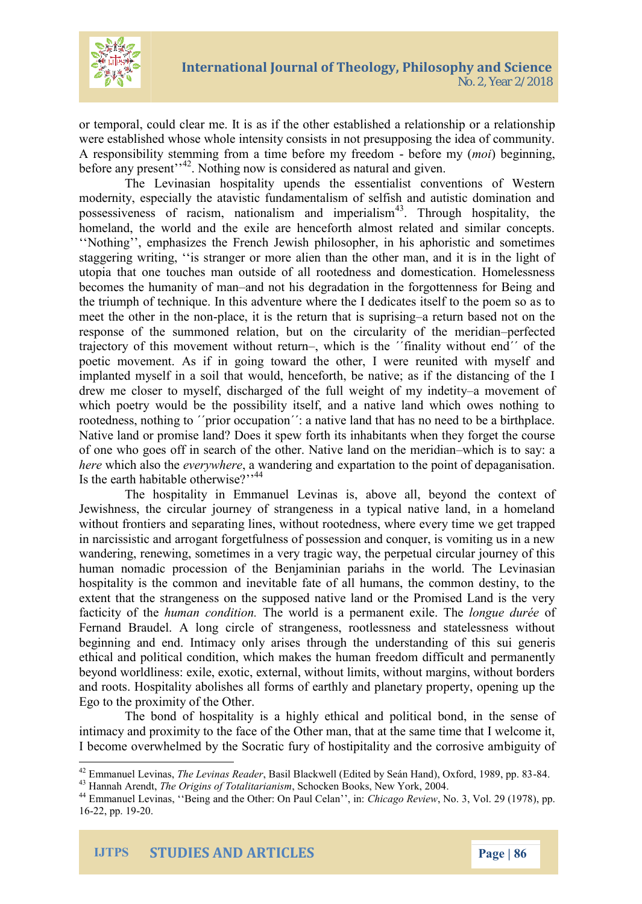

or temporal, could clear me. It is as if the other established a relationship or a relationship were established whose whole intensity consists in not presupposing the idea of community. A responsibility stemming from a time before my freedom - before my (*moi*) beginning, before any present"<sup>42</sup>. Nothing now is considered as natural and given.

The Levinasian hospitality upends the essentialist conventions of Western modernity, especially the atavistic fundamentalism of selfish and autistic domination and possessiveness of racism, nationalism and imperialism<sup>43</sup>. Through hospitality, the homeland, the world and the exile are henceforth almost related and similar concepts. ''Nothing'', emphasizes the French Jewish philosopher, in his aphoristic and sometimes staggering writing, ''is stranger or more alien than the other man, and it is in the light of utopia that one touches man outside of all rootedness and domestication. Homelessness becomes the humanity of man–and not his degradation in the forgottenness for Being and the triumph of technique. In this adventure where the I dedicates itself to the poem so as to meet the other in the non-place, it is the return that is suprising–a return based not on the response of the summoned relation, but on the circularity of the meridian–perfected trajectory of this movement without return–, which is the ΄΄finality without end΄΄ of the poetic movement. As if in going toward the other, I were reunited with myself and implanted myself in a soil that would, henceforth, be native; as if the distancing of the I drew me closer to myself, discharged of the full weight of my indetity–a movement of which poetry would be the possibility itself, and a native land which owes nothing to rootedness, nothing to *''*prior occupation'': a native land that has no need to be a birthplace. Native land or promise land? Does it spew forth its inhabitants when they forget the course of one who goes off in search of the other. Native land on the meridian–which is to say: a *here* which also the *everywhere*, a wandering and expartation to the point of depaganisation. Is the earth habitable otherwise?"<sup>44</sup>

The hospitality in Emmanuel Levinas is, above all, beyond the context of Jewishness, the circular journey of strangeness in a typical native land, in a homeland without frontiers and separating lines, without rootedness, where every time we get trapped in narcissistic and arrogant forgetfulness of possession and conquer, is vomiting us in a new wandering, renewing, sometimes in a very tragic way, the perpetual circular journey of this human nomadic procession of the Benjaminian pariahs in the world. The Levinasian hospitality is the common and inevitable fate of all humans, the common destiny, to the extent that the strangeness on the supposed native land or the Promised Land is the very facticity of the *human condition.* The world is a permanent exile. The *longue durée* of Fernand Braudel. A long circle of strangeness, rootlessness and statelessness without beginning and end. Intimacy only arises through the understanding of this sui generis ethical and political condition, which makes the human freedom difficult and permanently beyond worldliness: exile, exotic, external, without limits, without margins, without borders and roots. Hospitality abolishes all forms of earthly and planetary property, opening up the Ego to the proximity of the Other.

The bond of hospitality is a highly ethical and political bond, in the sense of intimacy and proximity to the face of the Other man, that at the same time that I welcome it, I become overwhelmed by the Socratic fury of hostipitality and the corrosive ambiguity of

<sup>42</sup> Emmanuel Levinas, *The Levinas Reader*, Basil Blackwell (Edited by Seán Hand), Oxford, 1989, pp. 83-84.

<sup>43</sup> Hannah Arendt, *The Origins of Totalitarianism*, Schocken Books, New York, 2004.

<sup>44</sup> Emmanuel Levinas, ''Being and the Other: On Paul Celan'', in: *Chicago Review*, No. 3, Vol. 29 (1978), pp. 16-22, pp. 19-20.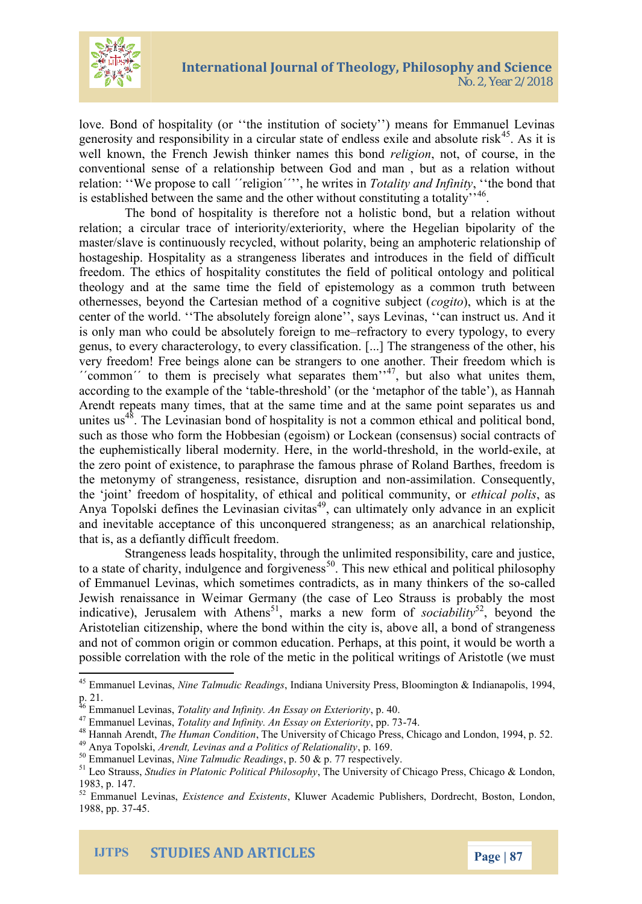

love. Bond of hospitality (or ''the institution of society'') means for Emmanuel Levinas generosity and responsibility in a circular state of endless exile and absolute risk<sup>45</sup>. As it is well known, the French Jewish thinker names this bond *religion*, not, of course, in the conventional sense of a relationship between God and man , but as a relation without relation: ''We propose to call ΄΄religion΄΄'', he writes in *Totality and Infinity*, ''the bond that is established between the same and the other without constituting a totality"<sup>46</sup>.

The bond of hospitality is therefore not a holistic bond, but a relation without relation; a circular trace of interiority/exteriority, where the Hegelian bipolarity of the master/slave is continuously recycled, without polarity, being an amphoteric relationship of hostageship. Hospitality as a strangeness liberates and introduces in the field of difficult freedom. The ethics of hospitality constitutes the field of political ontology and political theology and at the same time the field of epistemology as a common truth between othernesses, beyond the Cartesian method of a cognitive subject (*cogito*), which is at the center of the world. ''The absolutely foreign alone'', says Levinas, ''can instruct us. And it is only man who could be absolutely foreign to me–refractory to every typology, to every genus, to every characterology, to every classification. [...] The strangeness of the other, his very freedom! Free beings alone can be strangers to one another. Their freedom which is  $\lq$ <sup>'</sup> common'' to them is precisely what separates them'<sup>47</sup>, but also what unites them, according to the example of the 'table-threshold' (or the 'metaphor of the table'), as Hannah Arendt repeats many times, that at the same time and at the same point separates us and unites us<sup>48</sup>. The Levinasian bond of hospitality is not a common ethical and political bond, such as those who form the Hobbesian (egoism) or Lockean (consensus) social contracts of the euphemistically liberal modernity. Here, in the world-threshold, in the world-exile, at the zero point of existence, to paraphrase the famous phrase of Roland Barthes, freedom is the metonymy of strangeness, resistance, disruption and non-assimilation. Consequently, the 'joint' freedom of hospitality, of ethical and political community, or *ethical polis*, as Anya Topolski defines the Levinasian civitas<sup>49</sup>, can ultimately only advance in an explicit and inevitable acceptance of this unconquered strangeness; as an anarchical relationship, that is, as a defiantly difficult freedom.

Strangeness leads hospitality, through the unlimited responsibility, care and justice, to a state of charity, indulgence and forgiveness<sup>50</sup>. This new ethical and political philosophy of Emmanuel Levinas, which sometimes contradicts, as in many thinkers of the so-called Jewish renaissance in Weimar Germany (the case of Leo Strauss is probably the most indicative), Jerusalem with Athens<sup>51</sup>, marks a new form of *sociability*<sup>52</sup>, beyond the Aristotelian citizenship, where the bond within the city is, above all, a bond of strangeness and not of common origin or common education. Perhaps, at this point, it would be worth a possible correlation with the role of the metic in the political writings of Aristotle (we must

<sup>45</sup> Emmanuel Levinas, *Nine Talmudic Readings*, Indiana University Press, Bloomington & Indianapolis, 1994, p. 21.

<sup>46</sup> Emmanuel Levinas, *Totality and Infinity. An Essay on Exteriority*, p. 40.

<sup>47</sup> Emmanuel Levinas, *Totality and Infinity. An Essay on Exteriority*, pp. 73-74.

<sup>48</sup> Hannah Arendt, *The Human Condition*, The University of Chicago Press, Chicago and London, 1994, p. 52.

<sup>49</sup> Anya Topolski, *Arendt, Levinas and a Politics of Relationality*, p. 169.

<sup>50</sup> Emmanuel Levinas, *Nine Talmudic Readings*, p. 50 & p. 77 respectively.

<sup>51</sup> Leo Strauss, *Studies in Platonic Political Philosophy*, The University of Chicago Press, Chicago & London, 1983, p. 147.

<sup>52</sup> Emmanuel Levinas, *Existence and Existents*, Kluwer Academic Publishers, Dordrecht, Boston, London, 1988, pp. 37-45.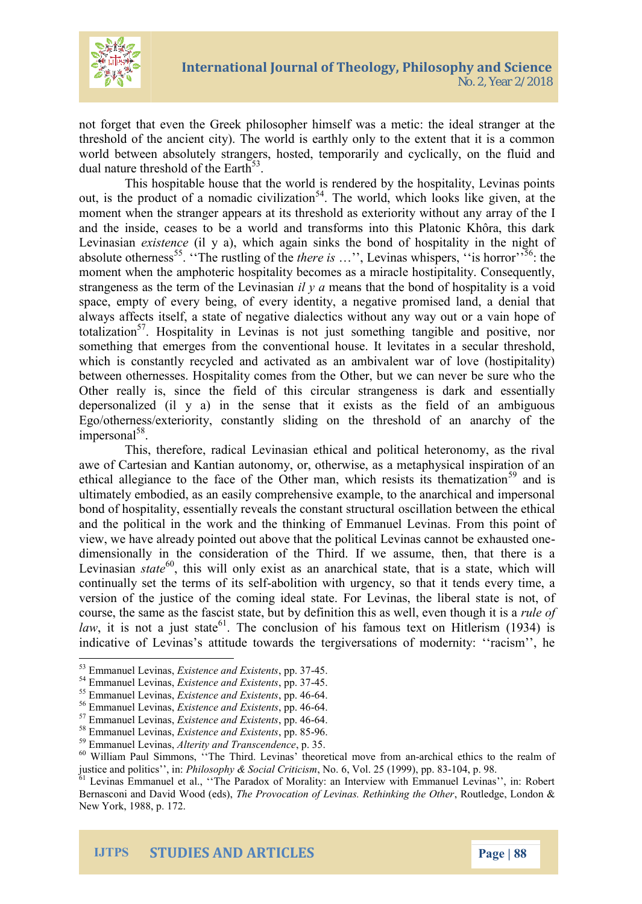

not forget that even the Greek philosopher himself was a metic: the ideal stranger at the threshold of the ancient city). The world is earthly only to the extent that it is a common world between absolutely strangers, hosted, temporarily and cyclically, on the fluid and dual nature threshold of the Earth<sup>53</sup>.

This hospitable house that the world is rendered by the hospitality, Levinas points out, is the product of a nomadic civilization<sup>54</sup>. The world, which looks like given, at the moment when the stranger appears at its threshold as exteriority without any array of the I and the inside, ceases to be a world and transforms into this Platonic Khôra, this dark Levinasian *existence* (il y a), which again sinks the bond of hospitality in the night of absolute otherness<sup>55</sup>. "The rustling of the *there is* ...", Levinas whispers, "is horror"<sup>56</sup>: the moment when the amphoteric hospitality becomes as a miracle hostipitality. Consequently, strangeness as the term of the Levinasian *il y a* means that the bond of hospitality is a void space, empty of every being, of every identity, a negative promised land, a denial that always affects itself, a state of negative dialectics without any way out or a vain hope of totalization<sup>57</sup>. Hospitality in Levinas is not just something tangible and positive, nor something that emerges from the conventional house. It levitates in a secular threshold, which is constantly recycled and activated as an ambivalent war of love (hostipitality) between othernesses. Hospitality comes from the Other, but we can never be sure who the Other really is, since the field of this circular strangeness is dark and essentially depersonalized (il y a) in the sense that it exists as the field of an ambiguous Ego/otherness/exteriority, constantly sliding on the threshold of an anarchy of the impersonal<sup>58</sup>.

This, therefore, radical Levinasian ethical and political heteronomy, as the rival awe of Cartesian and Kantian autonomy, or, otherwise, as a metaphysical inspiration of an ethical allegiance to the face of the Other man, which resists its thematization<sup>59</sup> and is ultimately embodied, as an easily comprehensive example, to the anarchical and impersonal bond of hospitality, essentially reveals the constant structural oscillation between the ethical and the political in the work and the thinking of Emmanuel Levinas. From this point of view, we have already pointed out above that the political Levinas cannot be exhausted onedimensionally in the consideration of the Third. If we assume, then, that there is a Levinasian *state*<sup>60</sup>, this will only exist as an anarchical state, that is a state, which will continually set the terms of its self-abolition with urgency, so that it tends every time, a version of the justice of the coming ideal state. For Levinas, the liberal state is not, of course, the same as the fascist state, but by definition this as well, even though it is a *rule of law*, it is not a just state<sup>61</sup>. The conclusion of his famous text on Hitlerism (1934) is indicative of Levinas's attitude towards the tergiversations of modernity: ''racism'', he

<sup>53</sup> Emmanuel Levinas, *Existence and Existents*, pp. 37-45.

<sup>54</sup> Emmanuel Levinas, *Existence and Existents*, pp. 37-45.

<sup>55</sup> Emmanuel Levinas, *Existence and Existents*, pp. 46-64.

<sup>56</sup> Emmanuel Levinas, *Existence and Existents*, pp. 46-64.

<sup>57</sup> Emmanuel Levinas, *Existence and Existents*, pp. 46-64.

<sup>58</sup> Emmanuel Levinas, *Existence and Existents*, pp. 85-96.

<sup>59</sup> Emmanuel Levinas, *Alterity and Transcendence*, p. 35.

<sup>60</sup> William Paul Simmons, ''The Third. Levinas' theoretical move from an-archical ethics to the realm of justice and politics'', in: *Philosophy & Social Criticism*, No. 6, Vol. 25 (1999), pp. 83-104, p. 98.

<sup>&</sup>lt;sup>61</sup> Levinas Emmanuel et al., "The Paradox of Morality: an Interview with Emmanuel Levinas", in: Robert Bernasconi and David Wood (eds), *The Provocation of Levinas. Rethinking the Other*, Routledge, London & New York, 1988, p. 172.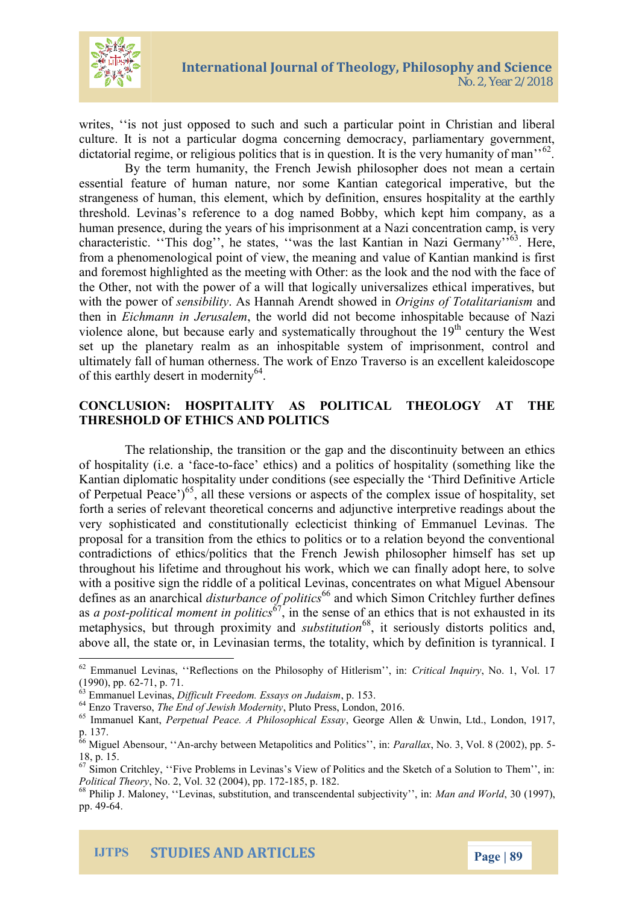

writes, "is not just opposed to such and such a particular point in Christian and liberal culture. It is not a particular dogma concerning democracy, parliamentary government, dictatorial regime, or religious politics that is in question. It is the very humanity of man<sup>'62</sup>.

By the term humanity, the French Jewish philosopher does not mean a certain essential feature of human nature, nor some Kantian categorical imperative, but the strangeness of human, this element, which by definition, ensures hospitality at the earthly threshold. Levinas's reference to a dog named Bobby, which kept him company, as a human presence, during the years of his imprisonment at a Nazi concentration camp, is very characteristic. "This dog", he states, "was the last Kantian in Nazi Germany"<sup>563</sup>. Here, from a phenomenological point of view, the meaning and value of Kantian mankind is first and foremost highlighted as the meeting with Other: as the look and the nod with the face of the Other, not with the power of a will that logically universalizes ethical imperatives, but with the power of *sensibility*. As Hannah Arendt showed in *Origins of Totalitarianism* and then in *Eichmann in Jerusalem*, the world did not become inhospitable because of Nazi violence alone, but because early and systematically throughout the  $19<sup>th</sup>$  century the West set up the planetary realm as an inhospitable system of imprisonment, control and ultimately fall of human otherness. The work of Enzo Traverso is an excellent kaleidoscope of this earthly desert in modernity<sup>64</sup>.

#### **CONCLUSION: HOSPITALITY AS POLITICAL THEOLOGY AT THE THRESHOLD OF ETHICS AND POLITICS**

The relationship, the transition or the gap and the discontinuity between an ethics of hospitality (i.e. a 'face-to-face' ethics) and a politics of hospitality (something like the Kantian diplomatic hospitality under conditions (see especially the 'Third Definitive Article of Perpetual Peace')<sup>65</sup>, all these versions or aspects of the complex issue of hospitality, set forth a series of relevant theoretical concerns and adjunctive interpretive readings about the very sophisticated and constitutionally eclecticist thinking of Emmanuel Levinas. The proposal for a transition from the ethics to politics or to a relation beyond the conventional contradictions of ethics/politics that the French Jewish philosopher himself has set up throughout his lifetime and throughout his work, which we can finally adopt here, to solve with a positive sign the riddle of a political Levinas, concentrates on what Miguel Abensour defines as an anarchical *disturbance of politics*<sup>66</sup> and which Simon Critchley further defines as *a post-political moment in politics*<sup>67</sup>, in the sense of an ethics that is not exhausted in its metaphysics, but through proximity and *substitution*<sup>68</sup>, it seriously distorts politics and, above all, the state or, in Levinasian terms, the totality, which by definition is tyrannical. I

<sup>62</sup> Emmanuel Levinas, ''Reflections on the Philosophy of Hitlerism'', in: *Critical Inquiry*, No. 1, Vol. 17 (1990), pp. 62-71, p. 71.

<sup>63</sup> Emmanuel Levinas, *Difficult Freedom. Essays on Judaism*, p. 153.

<sup>64</sup> Enzo Traverso, *The End of Jewish Modernity*, Pluto Press, London, 2016.

<sup>65</sup> Immanuel Kant, *Perpetual Peace. A Philosophical Essay*, George Allen & Unwin, Ltd., London, 1917, p. 137.

<sup>66</sup> Miguel Abensour, ''An-archy between Metapolitics and Politics'', in: *Parallax*, No. 3, Vol. 8 (2002), pp. 5- 18, p. 15.

<sup>&</sup>lt;sup>67</sup> Simon Critchley, "Five Problems in Levinas's View of Politics and the Sketch of a Solution to Them", in: *Political Theory*, No. 2, Vol. 32 (2004), pp. 172-185, p. 182.

<sup>68</sup> Philip J. Maloney, ''Levinas, substitution, and transcendental subjectivity'', in: *Man and World*, 30 (1997), pp. 49-64.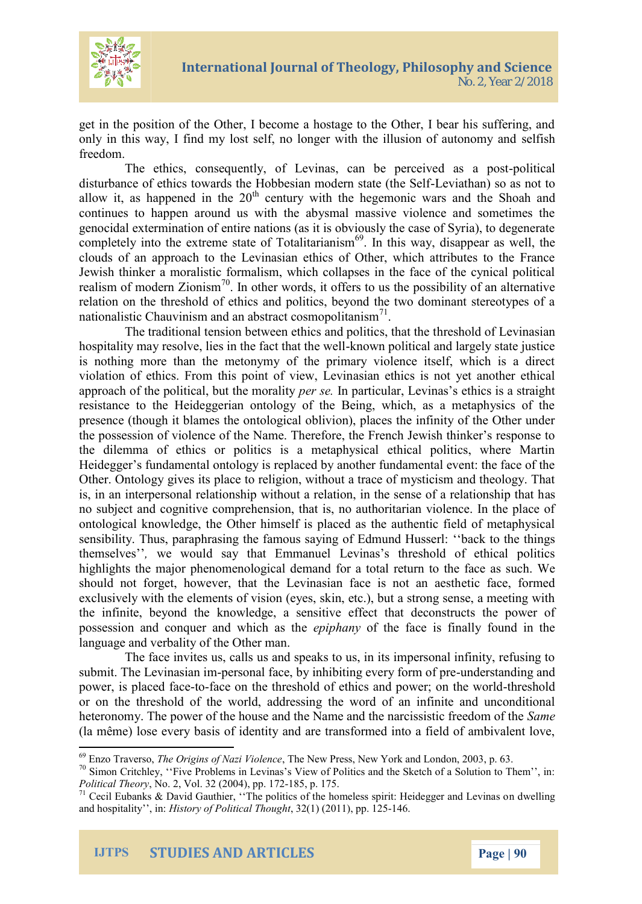

get in the position of the Other, I become a hostage to the Other, I bear his suffering, and only in this way, I find my lost self, no longer with the illusion of autonomy and selfish freedom.

The ethics, consequently, of Levinas, can be perceived as a post-political disturbance of ethics towards the Hobbesian modern state (the Self-Leviathan) so as not to allow it, as happened in the  $20<sup>th</sup>$  century with the hegemonic wars and the Shoah and continues to happen around us with the abysmal massive violence and sometimes the genocidal extermination of entire nations (as it is obviously the case of Syria), to degenerate completely into the extreme state of Totalitarianism<sup>69</sup>. In this way, disappear as well, the clouds of an approach to the Levinasian ethics of Other, which attributes to the France Jewish thinker a moralistic formalism, which collapses in the face of the cynical political realism of modern Zionism<sup>70</sup>. In other words, it offers to us the possibility of an alternative relation on the threshold of ethics and politics, beyond the two dominant stereotypes of a nationalistic Chauvinism and an abstract cosmopolitanism<sup>71</sup>.

The traditional tension between ethics and politics, that the threshold of Levinasian hospitality may resolve, lies in the fact that the well-known political and largely state justice is nothing more than the metonymy of the primary violence itself, which is a direct violation of ethics. From this point of view, Levinasian ethics is not yet another ethical approach of the political, but the morality *per se.* In particular, Levinas's ethics is a straight resistance to the Heideggerian ontology of the Being, which, as a metaphysics of the presence (though it blames the ontological oblivion), places the infinity of the Other under the possession of violence of the Name. Therefore, the French Jewish thinker's response to the dilemma of ethics or politics is a metaphysical ethical politics, where Martin Heidegger's fundamental ontology is replaced by another fundamental event: the face of the Other. Ontology gives its place to religion, without a trace of mysticism and theology. That is, in an interpersonal relationship without a relation, in the sense of a relationship that has no subject and cognitive comprehension, that is, no authoritarian violence. In the place of ontological knowledge, the Other himself is placed as the authentic field of metaphysical sensibility. Thus, paraphrasing the famous saying of Edmund Husserl: ''back to the things themselves''*,* we would say that Emmanuel Levinas's threshold of ethical politics highlights the major phenomenological demand for a total return to the face as such. We should not forget, however, that the Levinasian face is not an aesthetic face, formed exclusively with the elements of vision (eyes, skin, etc.), but a strong sense, a meeting with the infinite, beyond the knowledge, a sensitive effect that deconstructs the power of possession and conquer and which as the *epiphany* of the face is finally found in the language and verbality of the Other man.

The face invites us, calls us and speaks to us, in its impersonal infinity, refusing to submit. The Levinasian im-personal face, by inhibiting every form of pre-understanding and power, is placed face-to-face on the threshold of ethics and power; on the world-threshold or on the threshold of the world, addressing the word of an infinite and unconditional heteronomy. The power of the house and the Νame and the narcissistic freedom of the *Same* (la même) lose every basis of identity and are transformed into a field of ambivalent love,

<sup>69</sup> Enzo Traverso, *The Origins of Nazi Violence*, The New Press, New York and London, 2003, p. 63.

 $70$  Simon Critchley, "Five Problems in Levinas's View of Politics and the Sketch of a Solution to Them", in: *Political Theory*, No. 2, Vol. 32 (2004), pp. 172-185, p. 175.

<sup>&</sup>lt;sup>71</sup> Cecil Eubanks & David Gauthier, "The politics of the homeless spirit: Heidegger and Levinas on dwelling <sup>71</sup> and hospitality'', in: *History of Political Thought*, 32(1) (2011), pp. 125-146.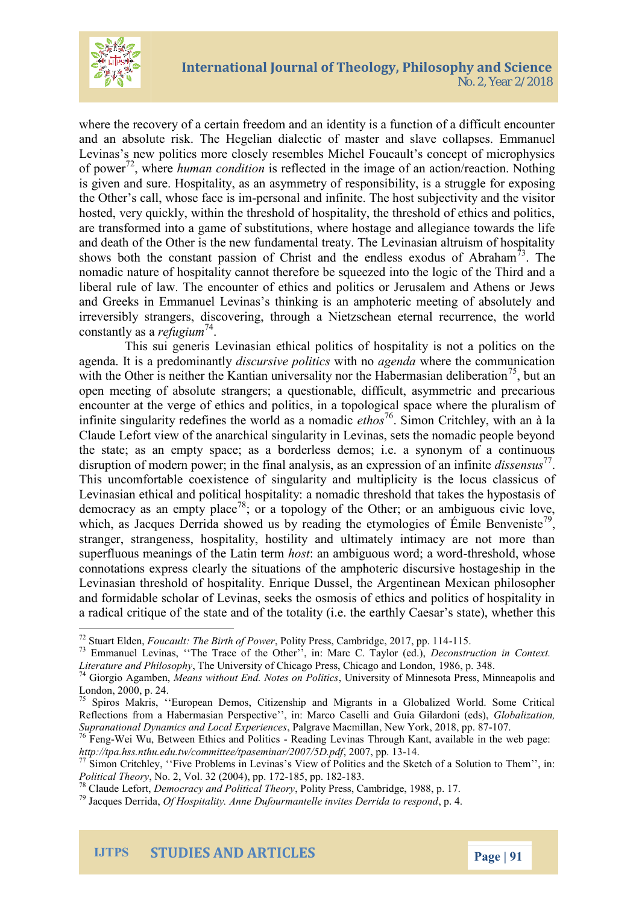where the recovery of a certain freedom and an identity is a and an absolute risk. The Hegelian diadeloatpsest Emmanutenuacho Levinas s new politics more closely resembles Michel Fouca of pow, ewhenuman condition is reflected in the image of an action/re is given and sure. Hospitality, asbahitasyim maestryugglnees for nesxip the Other s call, who est of the dim and infinite. The host subjectivity hosted, very quickly, within the threshold of hospitality, the are transformed  $\phi$  fitsubs sot a that bions, where hostage and allegian and death of the Other is the new fundamental treaty. The  $L \in$ shows both the constant passion of Christ and<sup>3</sup> the eendles: nomadic natuspitality cannot therefore be squeezed into the liberal rule of law. The encounter of ethics and politics or and Greeks in Emmas then klegins an amphoteric meeting of a irrevsibly strangers, discovering, through a Nietzschean et constantly e fausg lau m

Thisui genLeervisnasian ethical politics of hospitality is n agenda. It is a prolei**e of unrishiare thay othit alges** and wahere the communication with the Other is neither the Kantian universal  $\{\xi$  photame Ha open meeting of absolute strangers; a questionable, difficu encounter at the verge of  $\dot{e}$  thin a topological at in a space where the infinite singularity redefines t**e**th<sup>7</sup>oo Sorlmdo as Carinco-mheayd, io with an Claude Lefort view of the anarchical singularity in Levinas, sets the state; as pancempaty as borderless demos; i.e. a synonym disruption of modern power; in the final analydsisss, early an expression of modern power; in the final analydsisss, early This uncomfortable coexistence of siinsguhhaeriltoycuas on clmasustic pulsic Levinastihain e and political hospitality: a nomadic threshold t democracy as an<sup>78</sup>; morty place  $\frac{1}{2}$  of the Other; or an ambig which, as Jacques Derrida showed us by reading  $\mathcal{H}$  he etymology stanger, strangeness, hospitality, hostility and ultimately superfluous meanings oh fo shabe latin the Latin worth the Sah overlook, dwhose connotations express clearly the situations of inthine the photeric Levinasian threshold of hospitality. Enrique Dussel, the Arg and formidable scholar of Levinas, seeks the osmosis of eth a radical critique of the state aned the fythCea to barlisty state), the heath

 $^{72}$ Stuart E Flden, ault: The Bir, the oolfit Ry o Prownerss, Cambrid-g1  $6.5.2017$ , pp. 114  $73$  Emmanuel LevTinas, Trace of the Other , in: MaconStruTcatylor in Context. Literature and PThileoblomphy rsity of Chicago Press, 98 pic a 48. and London,  $^{74}$ Giorgio Aga Mmebaenns, without End. Not Lens wen Pioyita t s Minnesota Press, Minne

London, 2000, p. 24.

oupranational by namits and European Christianas Thanceuty and Keant, the web page:<br><sup>76</sup>FenWyei Wu, Between Ethic Reaanddin Pgo Lioticias Thanceuty and Keant, the web page: [http://tpa.hss.nthu.edu.tw/committe](http://tpa.hss.nthu.edu.tw/committee/tpaseminar/2007/5D.pdf) $\frac{20}{3}$ 0tp $\frac{2007}{2007}$ /5D.pdf

 $^{77}$ Simon Critchley, Five Problem in Reminas and the Sketch of a Solution  $P$  olitical  $TM$ m $\infty$   $\chi$ <sub>2</sub>  $132$   $(200\beta)$   $(3, 1782\beta)$  pp. -183.

 $^{78}$ Claude LDeform b, cracy and Polit Prodity Heroersys, Cambridge, 1988, p. 17.

 $^{79}$ Jacques D@friHobas, pitality. If Amne antelle invites D, epriela to respond

IJTPS STUDIES AND ARTICLES Page 1

 $75$  SpirosakMis, European Demos, Citizenship and Migrants in a Global Reflections from a Habermasian Perspective , in: MaGicoob Clasetlonand G Supranational Dynamics and Pacana Expled, aidemoide of ok, 2018, 7 pp. 87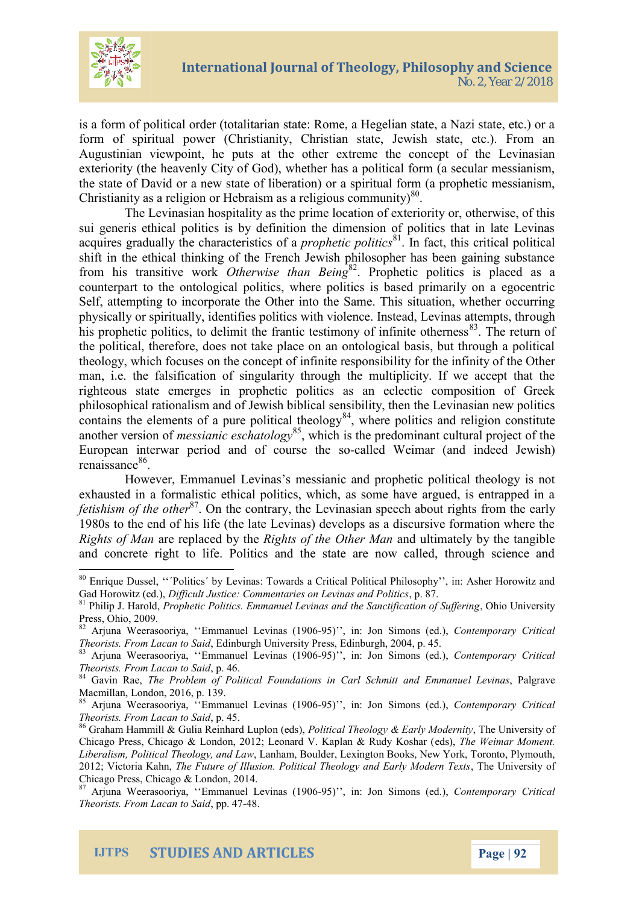

is a form of political order (totalitarian state: Rome, a Hegelian state, a Nazi state, etc.) or a form of spiritual power (Christianity, Christian state, Jewish state, etc.). From an Augustinian viewpoint, he puts at the other extreme the concept of the Levinasian exteriority (the heavenly City of God), whether has a political form (a secular messianism, the state of David or a new state of liberation) or a spiritual form (a prophetic messianism, Christianity as a religion or Hebraism as a religious community) $80$ .

The Levinasian hospitality as the prime location of exteriority or, otherwise, of this sui generis ethical politics is by definition the dimension of politics that in late Levinas acquires gradually the characteristics of a *prophetic politics*<sup>81</sup> . In fact, this critical political shift in the ethical thinking of the French Jewish philosopher has been gaining substance from his transitive work *Otherwise than Being*<sup>82</sup> . Prophetic politics is placed as a counterpart to the ontological politics, where politics is based primarily on a egocentric Self, attempting to incorporate the Other into the Same. This situation, whether occurring physically or spiritually, identifies politics with violence. Instead, Levinas attempts, through his prophetic politics, to delimit the frantic testimony of infinite otherness $^{83}$ . The return of the political, therefore, does not take place on an ontological basis, but through a political theology, which focuses on the concept of infinite responsibility for the infinity of the Other man, i.e. the falsification of singularity through the multiplicity. If we accept that the righteous state emerges in prophetic politics as an eclectic composition of Greek philosophical rationalism and of Jewish biblical sensibility, then the Levinasian new politics contains the elements of a pure political theology<sup>84</sup>, where politics and religion constitute another version of *messianic eschatology*<sup>85</sup>, which is the predominant cultural project of the European interwar period and of course the so-called Weimar (and indeed Jewish) renaissance<sup>86</sup>.

However, Emmanuel Levinas's messianic and prophetic political theology is not exhausted in a formalistic ethical politics, which, as some have argued, is entrapped in a fetishism of the other<sup>87</sup>. On the contrary, the Levinasian speech about rights from the early 1980s to the end of his life (the late Levinas) develops as a discursive formation where the *Rights of Man* are replaced by the *Rights of the Other Man* and ultimately by the tangible and concrete right to life. Politics and the state are now called, through science and

<sup>80</sup> Enrique Dussel, ''΄Politics΄ by Levinas: Towards a Critical Political Philosophy'', in: Asher Horowitz and Gad Horowitz (ed.), *Difficult Justice: Commentaries on Levinas and Politics*, p. 87.

<sup>81</sup> Philip J. Harold, *Prophetic Politics. Emmanuel Levinas and the Sanctification of Suffering*, Ohio University Press, Ohio, 2009.

<sup>82</sup> Arjuna Weerasooriya, ''Emmanuel Levinas (1906-95)'', in: Jon Simons (ed.), *Contemporary Critical Theorists. From Lacan to Said*, Edinburgh University Press, Edinburgh, 2004, p. 45.

<sup>83</sup> Arjuna Weerasooriya, ''Emmanuel Levinas (1906-95)'', in: Jon Simons (ed.), *Contemporary Critical Theorists. From Lacan to Said*, p. 46.

<sup>84</sup> Gavin Rae, *The Problem of Political Foundations in Carl Schmitt and Emmanuel Levinas*, Palgrave Macmillan, London, 2016, p. 139.

<sup>85</sup> Arjuna Weerasooriya, ''Emmanuel Levinas (1906-95)'', in: Jon Simons (ed.), *Contemporary Critical Theorists. From Lacan to Said*, p. 45.

<sup>86</sup> Graham Hammill & Gulia Reinhard Luplon (eds), *Political Theology & Early Modernity*, The University of Chicago Press, Chicago & London, 2012; Leonard V. Kaplan & Rudy Koshar (eds), *The Weimar Moment. Liberalism, Political Theology, and Law*, Lanham, Boulder, Lexington Books, New York, Toronto, Plymouth, 2012; Victoria Kahn, *The Future of Illusion. Political Theology and Early Modern Texts*, The University of Chicago Press, Chicago & London, 2014.

<sup>87</sup> Arjuna Weerasooriya, ''Emmanuel Levinas (1906-95)'', in: Jon Simons (ed.), *Contemporary Critical Theorists. From Lacan to Said*, pp. 47-48.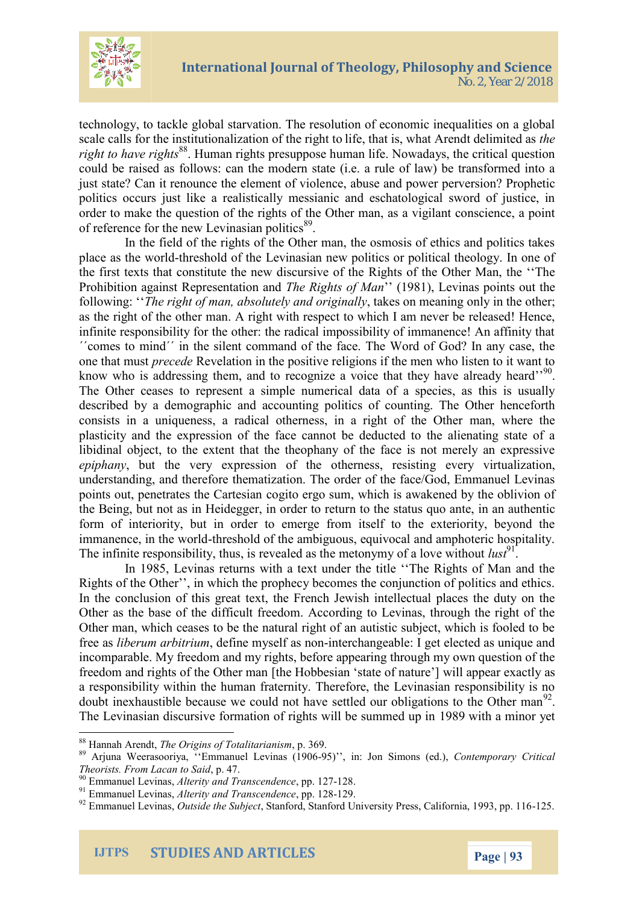

technology, to tackle global starvation. The resolution of economic inequalities on a global scale calls for the institutionalization of the right to life, that is, what Arendt delimited as *the right to have rights*<sup>88</sup>. Human rights presuppose human life. Nowadays, the critical question could be raised as follows: can the modern state (i.e. a rule of law) be transformed into a just state? Can it renounce the element of violence, abuse and power perversion? Prophetic politics occurs just like a realistically messianic and eschatological sword of justice, in order to make the question of the rights of the Other man, as a vigilant conscience, a point of reference for the new Levinasian politics<sup>89</sup>.

In the field of the rights of the Other man, the osmosis of ethics and politics takes place as the world-threshold of the Levinasian new politics or political theology. In one of the first texts that constitute the new discursive of the Rights of the Other Man, the ''The Prohibition against Representation and *The Rights of Man*'' (1981), Levinas points out the following: ''*The right of man, absolutely and originally*, takes on meaning only in the other; as the right of the other man. A right with respect to which I am never be released! Hence, infinite responsibility for the other: the radical impossibility of immanence! An affinity that ΄΄comes to mind΄΄ in the silent command of the face. The Word of God? In any case, the one that must *precede* Revelation in the positive religions if the men who listen to it want to know who is addressing them, and to recognize a voice that they have already heard''<sup>90</sup>. The Other ceases to represent a simple numerical data of a species, as this is usually described by a demographic and accounting politics of counting. The Other henceforth consists in a uniqueness, a radical otherness, in a right of the Other man, where the plasticity and the expression of the face cannot be deducted to the alienating state of a libidinal object, to the extent that the theophany of the face is not merely an expressive *epiphany*, but the very expression of the otherness, resisting every virtualization, understanding, and therefore thematization. The order of the face/God, Emmanuel Levinas points out, penetrates the Cartesian cogito ergo sum, which is awakened by the oblivion of the Being, but not as in Heidegger, in order to return to the status quo ante, in an authentic form of interiority, but in order to emerge from itself to the exteriority, beyond the immanence, in the world-threshold of the ambiguous, equivocal and amphoteric hospitality. The infinite responsibility, thus, is revealed as the metonymy of a love without  $\ell u s t^9$ .

In 1985, Levinas returns with a text under the title ''The Rights of Man and the Rights of the Other'', in which the prophecy becomes the conjunction of politics and ethics. In the conclusion of this great text, the French Jewish intellectual places the duty on the Other as the base of the difficult freedom. According to Levinas, through the right of the Other man, which ceases to be the natural right of an autistic subject, which is fooled to be free as *liberum arbitrium*, define myself as non-interchangeable: I get elected as unique and incomparable. My freedom and my rights, before appearing through my own question of the freedom and rights of the Other man [the Hobbesian 'state of nature'] will appear exactly as a responsibility within the human fraternity. Therefore, the Levinasian responsibility is no doubt inexhaustible because we could not have settled our obligations to the Other man<sup>92</sup>. The Levinasian discursive formation of rights will be summed up in 1989 with a minor yet

<sup>88</sup> Hannah Arendt, *The Origins of Totalitarianism*, p. 369.

<sup>89</sup> Arjuna Weerasooriya, ''Emmanuel Levinas (1906-95)'', in: Jon Simons (ed.), *Contemporary Critical Theorists. From Lacan to Said*, p. 47.

<sup>90</sup> Emmanuel Levinas, *Alterity and Transcendence*, pp. 127-128.

<sup>91</sup> Emmanuel Levinas, *Alterity and Transcendence*, pp. 128-129.

<sup>92</sup> Emmanuel Levinas, *Outside the Subject*, Stanford, Stanford University Press, California, 1993, pp. 116-125.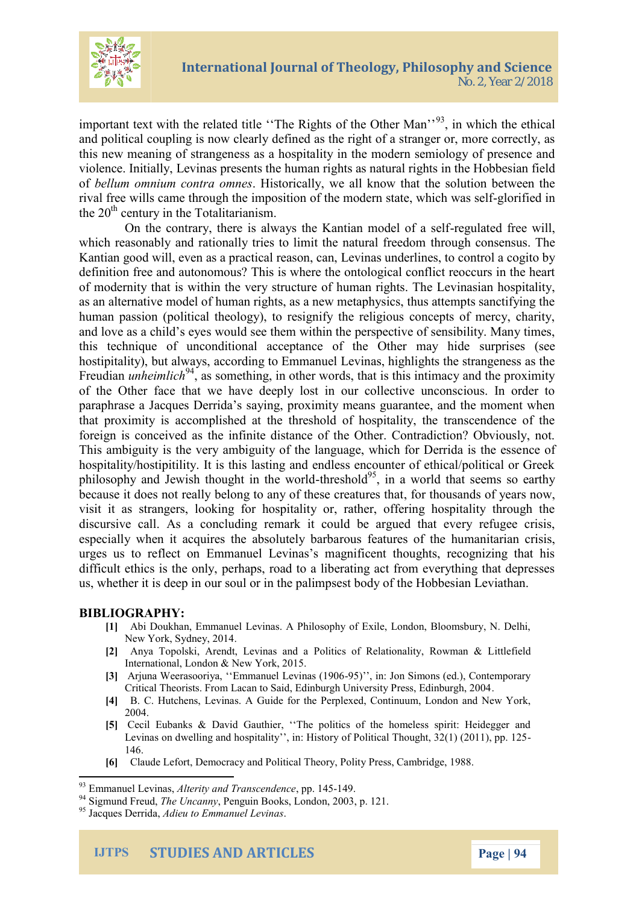

important text with the related title "The Rights of the Other Man"<sup>93</sup>, in which the ethical and political coupling is now clearly defined as the right of a stranger or, more correctly, as this new meaning of strangeness as a hospitality in the modern semiology of presence and violence. Initially, Levinas presents the human rights as natural rights in the Hobbesian field of *bellum omnium contra omnes*. Historically, we all know that the solution between the rival free wills came through the imposition of the modern state, which was self-glorified in the  $20<sup>th</sup>$  century in the Totalitarianism.

On the contrary, there is always the Kantian model of a self-regulated free will, which reasonably and rationally tries to limit the natural freedom through consensus. The Kantian good will, even as a practical reason, can, Levinas underlines, to control a cogito by definition free and autonomous? This is where the ontological conflict reoccurs in the heart of modernity that is within the very structure of human rights. The Levinasian hospitality, as an alternative model of human rights, as a new metaphysics, thus attempts sanctifying the human passion (political theology), to resignify the religious concepts of mercy, charity, and love as a child's eyes would see them within the perspective of sensibility. Many times, this technique of unconditional acceptance of the Other may hide surprises (see hostipitality), but always, according to Emmanuel Levinas, highlights the strangeness as the Freudian *unheimlich*<sup>94</sup>, as something, in other words, that is this intimacy and the proximity of the Other face that we have deeply lost in our collective unconscious. In order to paraphrase a Jacques Derrida's saying, proximity means guarantee, and the moment when that proximity is accomplished at the threshold of hospitality, the transcendence of the foreign is conceived as the infinite distance of the Other. Contradiction? Obviously, not. This ambiguity is the very ambiguity of the language, which for Derrida is the essence of hospitality/hostipitility. It is this lasting and endless encounter of ethical/political or Greek philosophy and Jewish thought in the world-threshold<sup>95</sup>, in a world that seems so earthy because it does not really belong to any of these creatures that, for thousands of years now, visit it as strangers, looking for hospitality or, rather, offering hospitality through the discursive call. As a concluding remark it could be argued that every refugee crisis, especially when it acquires the absolutely barbarous features of the humanitarian crisis, urges us to reflect on Emmanuel Levinas's magnificent thoughts, recognizing that his difficult ethics is the only, perhaps, road to a liberating act from everything that depresses us, whether it is deep in our soul or in the palimpsest body of the Hobbesian Leviathan.

#### **BIBLIOGRAPHY:**

- **[1]** Abi Doukhan, Emmanuel Levinas. A Philosophy of Exile, London, Bloomsbury, N. Delhi, New York, Sydney, 2014.
- **[2]** Anya Topolski, Arendt, Levinas and a Politics of Relationality, Rowman & Littlefield International, London & New York, 2015.
- **[3]** Arjuna Weerasooriya, ''Emmanuel Levinas (1906-95)'', in: Jon Simons (ed.), Contemporary Critical Theorists. From Lacan to Said, Edinburgh University Press, Edinburgh, 2004.
- **[4]** B. C. Hutchens, Levinas. A Guide for the Perplexed, Continuum, London and New York, 2004.
- **[5]** Cecil Eubanks & David Gauthier, ''The politics of the homeless spirit: Heidegger and Levinas on dwelling and hospitality'', in: History of Political Thought, 32(1) (2011), pp. 125- 146.
- **[6]** Claude Lefort, Democracy and Political Theory, Polity Press, Cambridge, 1988.

<sup>93</sup> Emmanuel Levinas, *Alterity and Transcendence*, pp. 145-149.

<sup>94</sup> Sigmund Freud, *The Uncanny*, Penguin Books, London, 2003, p. 121.

<sup>95</sup> Jacques Derrida, *Adieu to Emmanuel Levinas*.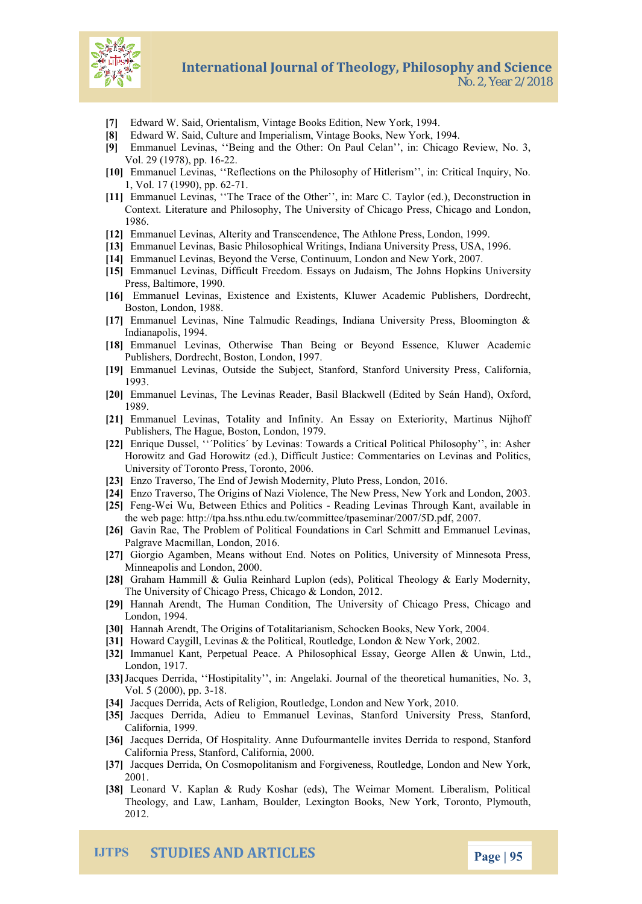- [7] Edward W. Said, Orient abioskns, EV dinttiaom, New York, 1994.
- [8] Edward W. Said, Culture and Imperialism, Vintage Books, New Yor [9] Emmanuel Levinas, Being O an Thauhle C@ther, in: Chicago Review, No. 3, 2014  $V$ ol $29$  (1978),  $2p$ p. 16
- [10]Emmanuel Levinas, Reflections on the Philosophy of Hitlerism,
- 1, d/l. 17 (1990),1 pp. 62<br>11 | Inmanuel Levinas, T The Trace of  $\texttt{The}\ \texttt{W}$  and  $\texttt{W}$  and  $\texttt{W}$  .), inder  $\texttt{W}$  and  $\texttt{W}$  ction in Context. Literature and Philosophy, The Uniosagosiaty do LoOnholiochago Pre 1986.
- [12]Emmanuel Levinas, Alterity  $\overline{a}$ hd  $\overline{A}$ thhosnce nPdrensse, London, 1999.
- [13]Emmanuel Levinas, Basic Phsilolnad pahria ailUynWinPriebenisnsg, USA, 1996.
- [14]Emmanuel Levinas, Beyon**d uthne, Vleornsdeon Coam d**i New York, 2007.
- [15]Emmanluevinas, Difficult Freedom. Essays on Judwa issmity The Johns Press, Baltimore, 1990.
- [16]Emmanuel Levinas, a Exsistents, Kluwer Academic Publishers, Boston, London, 1988.
- [17Emmanuel Levinas, Nine Talmudic Readings, Indiana University India apolis, 1994.
- [18]Emmanuel Levinas, Otherwise Than Being or Beycond Essence, PublishDecrnsdrecht, Boston, London, 1997.
- [19]Emmanuel Levinas, Outside the Subject, StanfoadifoStranaford Univ 1993.
- [20]Emmanuel Levinas, The Levinas Reader, Bahshaln Bolla o Chamid (Edited b 1989.
- [21]Emmanuel LeTwitrealist,y and Infinity. An Essay on Exteriority, Martinus PublishTehres, Hague, Boston, London, 1979.
- [22]Enrique Dussel, "Politics" by Levinas: Towards a Critical Politic Horowitz and Gad Horowitz (edC) om Dmiterind attes busticle evinas and Polit University of Toronto Press, Toronto, 2006.
- [23]Enzo Traverso, The End of Jewish Modernity, Pluto Press, London, [24]Enzo Traverso, The Origins of Nazeis Y, idNew corport Tikhan Monlewon Predon, 2003.
- [25]FenWeWu, Between Ethics Mand Proditlies in as Through Kant, available in the interest in Reading in the in
- the web [page: http://tpa.hss.nthu.edu.tw/co](http://tpa.hss.nthu.edu.tw/committee/tpaseminar/2007/5D.pdf)m0m07ttee/tpaseminar/200
- [26]Gavin Rae, The Problem of Political Foundations in Carl Schmitt PalgraWacmillan, London, 2016.
- [27]Giorgio Agamben, Means without End. Notes on Politics, University Mineapolis and London, 2000
- [28]Graham Hammill & Gulia Reinhard Luplon (eds), Political Theolog The University offe Shic Qalgicca Poplon & 2012.
- [29]Hannah Arendt, The Human Condition, TheessUnDvheincsaigyo oafnoChicago London, 1994.
- [30]Hannah Arendt, The Origins of Totalitarianism, Schocken Books, N
- [31 Howard Caygill, Levinas & the dige Pollothid and Recolution York, 2002.
- [32]mmanuel Kant, Perpetual Peace. A Philoso&h LcrawinEssLaty., George
- London, 1917.<br>[33J]acques Derrida, Hostipitality , in: Angelaki. Journal of the the Vol. 5 (20001) 8. pp. 3
- [34]Jacques Derrida, Acts of elogetig Loom, dio buothed New York, 2010.
- [35]Jacques Derrida, Adieu to Emmanuel Levinas, Stanford Univer California, 1999.
- [36]Jacques Derrida, Of Hospitality. Anne Dufourmanatreflovedinvites Derring to respondent to respondent to re California, PStanford, California, 2000.
- [37]Jacques Derrida, On Cosmopolitanism and Forgiveness, Routledge 2001.
- [38]eonard V. Kaplan & Rudy Koshar (eds), The Weimar Moment. I Theology, and Law pull die hambex B ngton w B Yoonk ks, Theoronto, Plymouth, 2012.